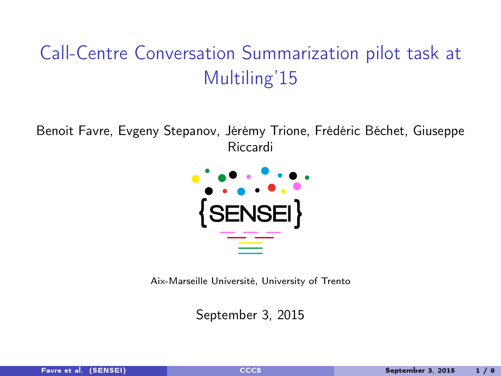# <span id="page-0-0"></span>Call-Centre Conversation Summarization pilot task at Multiling'15

Benoit Favre, Evgeny Stepanov, Jérémy Trione, Frédéric Béchet, Giuseppe Riccardi



Aix-Marseille Université, University of Trento

September 3, 2015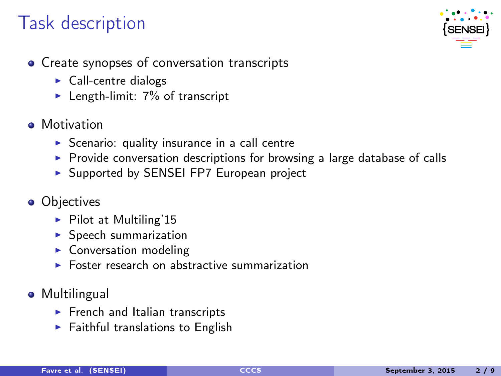## Task description



- Create synopses of conversation transcripts
	- $\triangleright$  Call-centre dialogs
	- Elength-limit:  $7\%$  of transcript
- **A** Motivation
	- $\triangleright$  Scenario: quality insurance in a call centre
	- $\triangleright$  Provide conversation descriptions for browsing a large database of calls
	- $\triangleright$  Supported by SENSEI FP7 European project
- **•** Objectives
	- $\blacktriangleright$  Pilot at Multiling'15
	- $\blacktriangleright$  Speech summarization
	- $\blacktriangleright$  Conversation modeling
	- $\triangleright$  Foster research on abstractive summarization
- **•** Multilingual
	- $\blacktriangleright$  French and Italian transcripts
	- $\blacktriangleright$  Faithful translations to English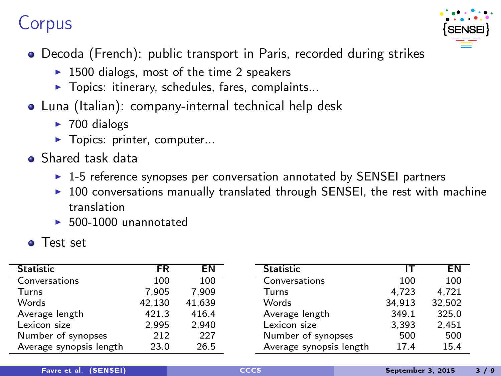### Corpus



- Decoda (French): public transport in Paris, recorded during strikes
	- $\blacktriangleright$  1500 dialogs, most of the time 2 speakers
	- $\blacktriangleright$  Topics: itinerary, schedules, fares, complaints...
- Luna (Italian): company-internal technical help desk
	- $\blacktriangleright$  700 dialogs
	- $\blacktriangleright$  Topics: printer, computer...
- **•** Shared task data
	- $\triangleright$  1-5 reference synopses per conversation annotated by SENSEI partners
	- $\triangleright$  100 conversations manually translated through SENSEI, the rest with machine translation
	- <sup>I</sup> 500-1000 unannotated
- **o** Test set

| Statistic               | FR     | EN     | Statistic               | ıт     | ΕN     |
|-------------------------|--------|--------|-------------------------|--------|--------|
| Conversations           | 100    | 100    | Conversations           | 100    | 100    |
| Turns                   | 7.905  | 7.909  | Turns                   | 4.723  | 4.721  |
| Words                   | 42.130 | 41.639 | Words                   | 34.913 | 32,502 |
| Average length          | 421.3  | 416.4  | Average length          | 349.1  | 325.0  |
| Lexicon size            | 2.995  | 2.940  | Lexicon size            | 3,393  | 2,451  |
| Number of synopses      | 212    | 227    | Number of synopses      | 500    | 500    |
| Average synopsis length | 23.0   | 26.5   | Average synopsis length | 17.4   | 15.4   |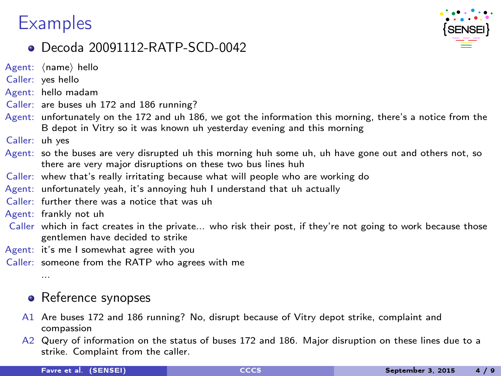### **Examples**



### Decoda 20091112-RATP-SCD-0042

 $A$ gent:  $\langle$ name $\rangle$  hello

- Caller: yes hello
- Agent: hello madam
- Caller: are buses uh 172 and 186 running?
- Agent: unfortunately on the 172 and uh 186, we got the information this morning, there's a notice from the B depot in Vitry so it was known uh yesterday evening and this morning
- Caller: uh yes
- Agent: so the buses are very disrupted uh this morning huh some uh, uh have gone out and others not, so there are very major disruptions on these two bus lines huh
- Caller: whew that's really irritating because what will people who are working do
- Agent: unfortunately yeah, it's annoying huh I understand that uh actually
- Caller: further there was a notice that was uh
- Agent: frankly not uh
- Caller which in fact creates in the private... who risk their post, if they're not going to work because those gentlemen have decided to strike
- Agent: it's me I somewhat agree with you
- Caller: someone from the RATP who agrees with me

...

#### • Reference synopses

- A1 Are buses 172 and 186 running? No, disrupt because of Vitry depot strike, complaint and compassion
- A2 Query of information on the status of buses 172 and 186. Major disruption on these lines due to a strike. Complaint from the caller.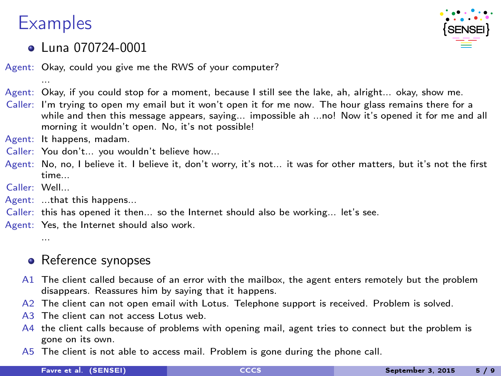## **Examples**

...



### **e** Luna 070724-0001

Agent: Okay, could you give me the RWS of your computer?

- Agent: Okay, if you could stop for a moment, because I still see the lake, ah, alright... okay, show me.
- Caller: I'm trying to open my email but it won't open it for me now. The hour glass remains there for a while and then this message appears, saying... impossible ah ...no! Now it's opened it for me and all morning it wouldn't open. No, it's not possible!
- Agent: It happens, madam.
- Caller: You don't... you wouldn't believe how...
- Agent: No, no, I believe it. I believe it, don't worry, it's not... it was for other matters, but it's not the first time
- Caller: Well...

...

- Agent: ...that this happens...
- Caller: this has opened it then... so the Internet should also be working... let's see.
- Agent: Yes, the Internet should also work.

#### • Reference synopses

- A1 The client called because of an error with the mailbox, the agent enters remotely but the problem disappears. Reassures him by saying that it happens.
- A2 The client can not open email with Lotus. Telephone support is received. Problem is solved.
- A3. The client can not access Lotus web.
- A4 the client calls because of problems with opening mail, agent tries to connect but the problem is gone on its own.
- A5 The client is not able to access mail. Problem is gone during the phone call.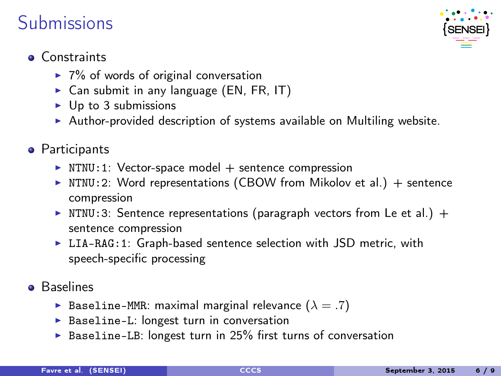### Submissions



### **Constraints**

- $\blacktriangleright$  7% of words of original conversation
- $\triangleright$  Can submit in any language (EN, FR, IT)
- $\blacktriangleright$  Up to 3 submissions
- $\blacktriangleright$  Author-provided description of systems available on Multiling website.
- **•** Participants
	- $\triangleright$  NTNU:1: Vector-space model + sentence compression
	- $\triangleright$  NTNU: 2: Word representations (CBOW from Mikolov et al.) + sentence compression
	- Im NTNU: 3: Sentence representations (paragraph vectors from Le et al.) + sentence compression
	- $\triangleright$  LIA-RAG: 1: Graph-based sentence selection with JSD metric, with speech-specific processing
- **Baselines** 
	- **Baseline-MMR:** maximal marginal relevance  $(\lambda = .7)$
	- $\triangleright$  Baseline-L: longest turn in conversation
	- $\triangleright$  Baseline-LB: longest turn in 25% first turns of conversation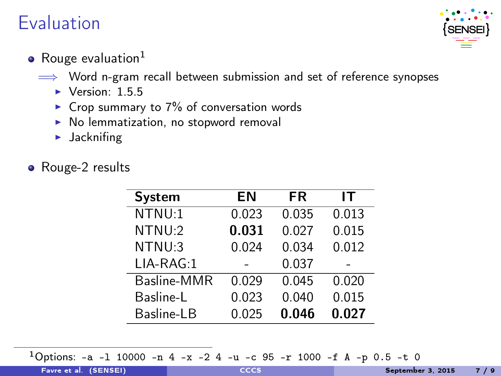## Evaluation



- Rouge evaluation $1$ 
	- $\implies$  Word n-gram recall between submission and set of reference synopses
		- $\blacktriangleright$  Version: 1.5.5
		- $\triangleright$  Crop summary to 7% of conversation words
		- $\triangleright$  No lemmatization, no stopword removal
		- $\blacktriangleright$  Jacknifing
- Rouge-2 results

| System      | ΕN    | <b>FR</b> | IТ    |
|-------------|-------|-----------|-------|
| NTNU:1      | 0.023 | 0.035     | 0.013 |
| NTNU:2      | 0.031 | 0.027     | 0.015 |
| NTNU:3      | 0.024 | 0.034     | 0.012 |
| LIA-RAG:1   |       | 0.037     |       |
| Basline-MMR | 0.029 | 0.045     | 0.020 |
| Basline-L   | 0.023 | 0.040     | 0.015 |
| Basline-LB  | 0.025 | 0.046     | 0.027 |

<sup>1</sup>Options: -a -l 10000 -n 4 -x -2 4 -u -c 95 -r 1000 -f A -p 0.5 -t 0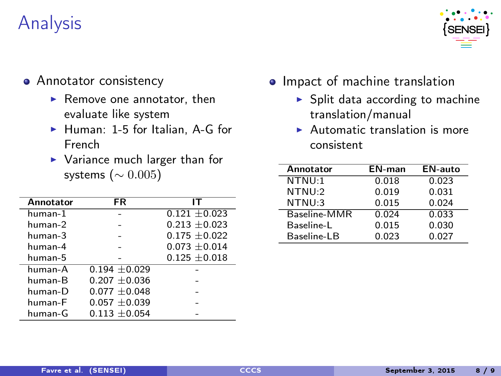## Analysis



- **•** Annotator consistency
	- $\blacktriangleright$  Remove one annotator, then evaluate like system
	- $\blacktriangleright$  Human: 1-5 for Italian, A-G for French
	- $\blacktriangleright$  Variance much larger than for systems ( $\sim 0.005$ )

| Annotator  | FR                | IΤ                |
|------------|-------------------|-------------------|
| human-1    |                   | $0.121 + 0.023$   |
| human-2    |                   | $0.213 + 0.023$   |
| human-3    |                   | $0.175 \pm 0.022$ |
| $h$ uman-4 |                   | $0.073 \pm 0.014$ |
| human-5    |                   | $0.125 \pm 0.018$ |
| human-A    | $0.194 + 0.029$   |                   |
| human-B    | $0.207 \pm 0.036$ |                   |
| $h$ uman-D | $0.077 + 0.048$   |                   |
| human-F    | $0.057 + 0.039$   |                   |
| human-G    | $0.113 + 0.054$   |                   |

- Impact of machine translation
	- $\triangleright$  Split data according to machine translation/manual
	- $\blacktriangleright$  Automatic translation is more consistent

| Annotator    | EN-man | <b>EN-auto</b> |
|--------------|--------|----------------|
| NTNU:1       | 0.018  | 0.023          |
| NTNU:2       | 0.019  | 0.031          |
| NTNU:3       | 0.015  | 0.024          |
| Baseline-MMR | 0.024  | 0.033          |
| Baseline-L   | 0.015  | 0.030          |
| Baseline-LB  | 0.023  | 0.027          |
|              |        |                |